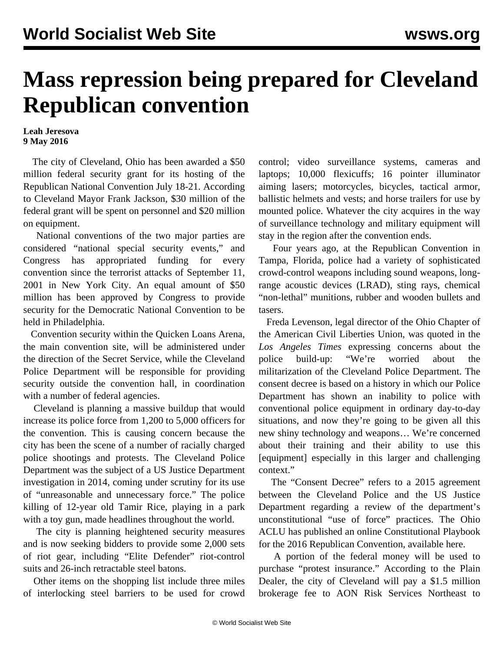## **Mass repression being prepared for Cleveland Republican convention**

## **Leah Jeresova 9 May 2016**

 The city of Cleveland, Ohio has been awarded a \$50 million federal security grant for its hosting of the Republican National Convention July 18-21. According to Cleveland Mayor Frank Jackson, \$30 million of the federal grant will be spent on personnel and \$20 million on equipment.

 National conventions of the two major parties are considered "national special security events," and Congress has appropriated funding for every convention since the terrorist attacks of September 11, 2001 in New York City. An equal amount of \$50 million has been approved by Congress to provide security for the Democratic National Convention to be held in Philadelphia.

 Convention security within the Quicken Loans Arena, the main convention site, will be administered under the direction of the Secret Service, while the Cleveland Police Department will be responsible for providing security outside the convention hall, in coordination with a number of federal agencies.

 Cleveland is planning a massive buildup that would increase its police force from 1,200 to 5,000 officers for the convention. This is causing concern because the city has been the scene of a number of racially charged police shootings and protests. The Cleveland Police Department was the subject of a US Justice Department investigation in 2014, coming under scrutiny for its use of "unreasonable and unnecessary force." The police killing of 12-year old Tamir Rice, playing in a park with a toy gun, made headlines throughout the world.

 The city is planning heightened security measures and is now seeking bidders to provide some 2,000 sets of riot gear, including "Elite Defender" riot-control suits and 26-inch retractable steel batons.

 Other items on the shopping list include three miles of interlocking steel barriers to be used for crowd control; video surveillance systems, cameras and laptops; 10,000 flexicuffs; 16 pointer illuminator aiming lasers; motorcycles, bicycles, tactical armor, ballistic helmets and vests; and horse trailers for use by mounted police. Whatever the city acquires in the way of surveillance technology and military equipment will stay in the region after the convention ends.

 Four years ago, at the Republican Convention in Tampa, Florida, police had a variety of sophisticated crowd-control weapons including sound weapons, longrange acoustic devices (LRAD), sting rays, chemical "non-lethal" munitions, rubber and wooden bullets and tasers.

 Freda Levenson, legal director of the Ohio Chapter of the American Civil Liberties Union, was quoted in the *Los Angeles Times* expressing concerns about the police build-up: "We're worried about the militarization of the Cleveland Police Department. The consent decree is based on a history in which our Police Department has shown an inability to police with conventional police equipment in ordinary day-to-day situations, and now they're going to be given all this new shiny technology and weapons… We're concerned about their training and their ability to use this [equipment] especially in this larger and challenging context."

 The "Consent Decree" refers to a 2015 agreement between the Cleveland Police and the US Justice Department regarding a review of the department's unconstitutional "use of force" practices. The Ohio ACLU has published an online Constitutional Playbook for the 2016 Republican Convention, available [here.](http://www.acluohio.org/rnc)

 A portion of the federal money will be used to purchase "protest insurance." According to the Plain Dealer, the city of Cleveland will pay a \$1.5 million brokerage fee to AON Risk Services Northeast to